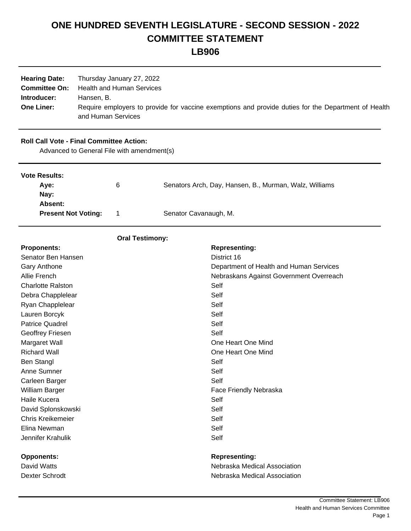# **ONE HUNDRED SEVENTH LEGISLATURE - SECOND SESSION - 2022 COMMITTEE STATEMENT**

**LB906**

| <b>Hearing Date:</b>             | Thursday January 27, 2022                                                                                                               |
|----------------------------------|-----------------------------------------------------------------------------------------------------------------------------------------|
| <b>Committee On:</b>             | Health and Human Services                                                                                                               |
| Introducer:<br><b>One Liner:</b> | Hansen. B.<br>Require employers to provide for vaccine exemptions and provide duties for the Department of Health<br>and Human Services |

## **Roll Call Vote - Final Committee Action:**

Advanced to General File with amendment(s)

| <b>Vote Results:</b>       |   |                                                        |
|----------------------------|---|--------------------------------------------------------|
| Ave:                       | 6 | Senators Arch, Day, Hansen, B., Murman, Walz, Williams |
| Nay:                       |   |                                                        |
| Absent:                    |   |                                                        |
| <b>Present Not Voting:</b> |   | Senator Cavanaugh, M.                                  |
|                            |   |                                                        |

## **Oral Testimony:**

| <b>Proponents:</b>       | <b>Representing:</b>                    |
|--------------------------|-----------------------------------------|
| Senator Ben Hansen       | District 16                             |
| Gary Anthone             | Department of Health and Human Services |
| Allie French             | Nebraskans Against Government Overreach |
| <b>Charlotte Ralston</b> | Self                                    |
| Debra Chapplelear        | Self                                    |
| Ryan Chapplelear         | Self                                    |
| Lauren Borcyk            | Self                                    |
| <b>Patrice Quadrel</b>   | Self                                    |
| Geoffrey Friesen         | Self                                    |
| Margaret Wall            | One Heart One Mind                      |
| <b>Richard Wall</b>      | One Heart One Mind                      |
| <b>Ben Stangl</b>        | Self                                    |
| Anne Sumner              | Self                                    |
| Carleen Barger           | Self                                    |
| William Barger           | <b>Face Friendly Nebraska</b>           |
| Haile Kucera             | Self                                    |
| David Splonskowski       | Self                                    |
| <b>Chris Kreikemeier</b> | Self                                    |
| Elina Newman             | Self                                    |
| Jennifer Krahulik        | Self                                    |
|                          |                                         |
| <b>Opponents:</b>        | <b>Representing:</b>                    |
| David Watts              | Nebraska Medical Association            |
| Dexter Schrodt           | Nebraska Medical Association            |